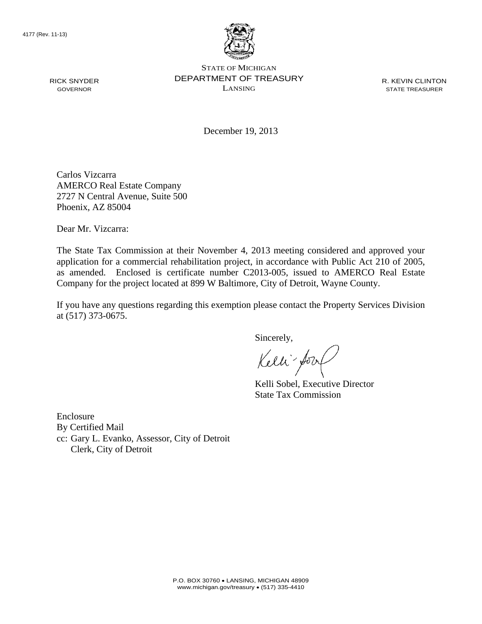

STATE OF MICHIGAN DEPARTMENT OF TREASURY LANSING

R. KEVIN CLINTON STATE TREASURER

December 19, 2013

Carlos Vizcarra AMERCO Real Estate Company 2727 N Central Avenue, Suite 500 Phoenix, AZ 85004

Dear Mr. Vizcarra:

The State Tax Commission at their November 4, 2013 meeting considered and approved your application for a commercial rehabilitation project, in accordance with Public Act 210 of 2005, as amended. Enclosed is certificate number C2013-005, issued to AMERCO Real Estate Company for the project located at 899 W Baltimore, City of Detroit, Wayne County.

If you have any questions regarding this exemption please contact the Property Services Division at (517) 373-0675.

Sincerely,

Kelli fory

Kelli Sobel, Executive Director State Tax Commission

Enclosure By Certified Mail cc: Gary L. Evanko, Assessor, City of Detroit Clerk, City of Detroit

RICK SNYDER GOVERNOR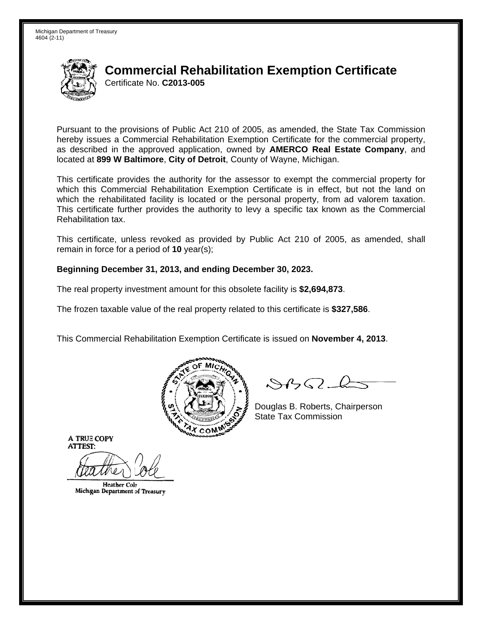

# **Commercial Rehabilitation Exemption Certificate** Certificate No. C2013-005

Pursuant to the provisions of Public Act 210 of 2005, as amended, the State Tax Commission hereby issues a Commercial Rehabilitation Exemption Certificate for the commercial property, as described in the approved application, owned by **AMERCO Real Estate Company**, and located at 899 W Baltimore, City of Detroit, County of Wayne, Michigan.

This certificate provides the authority for the assessor to exempt the commercial property for which this Commercial Rehabilitation Exemption Certificate is in effect, but not the land on which the rehabilitated facility is located or the personal property, from ad valorem taxation. This certificate further provides the authority to levy a specific tax known as the Commercial Rehabilitation tax.

This certificate, unless revoked as provided by Public Act 210 of 2005, as amended, shall remain in force for a period of  $10$  year(s);

## Beginning December 31, 2013, and ending December 30, 2023.

The real property investment amount for this obsolete facility is \$2,694,873.

The frozen taxable value of the real property related to this certificate is \$327,586.

This Commercial Rehabilitation Exemption Certificate is issued on November 4, 2013.



 $\mathcal{S}4\mathcal{G}$ 

Douglas B. Roberts, Chairperson **State Tax Commission** 

**A TRUE COPY ATTEST:** 

**Heather Cole** Michigan Department of Treasury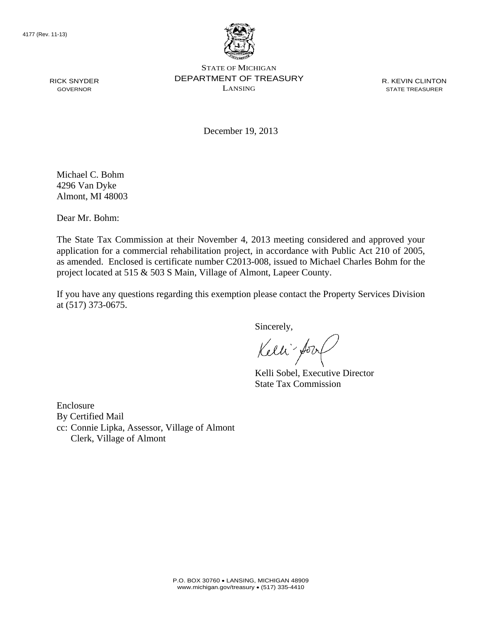RICK SNYDER GOVERNOR



STATE OF MICHIGAN DEPARTMENT OF TREASURY LANSING

R. KEVIN CLINTON STATE TREASURER

December 19, 2013

Michael C. Bohm 4296 Van Dyke Almont, MI 48003

Dear Mr. Bohm:

The State Tax Commission at their November 4, 2013 meeting considered and approved your application for a commercial rehabilitation project, in accordance with Public Act 210 of 2005, as amended. Enclosed is certificate number C2013-008, issued to Michael Charles Bohm for the project located at 515 & 503 S Main, Village of Almont, Lapeer County.

If you have any questions regarding this exemption please contact the Property Services Division at (517) 373-0675.

Sincerely,

Kelli for

Kelli Sobel, Executive Director State Tax Commission

Enclosure By Certified Mail cc: Connie Lipka, Assessor, Village of Almont Clerk, Village of Almont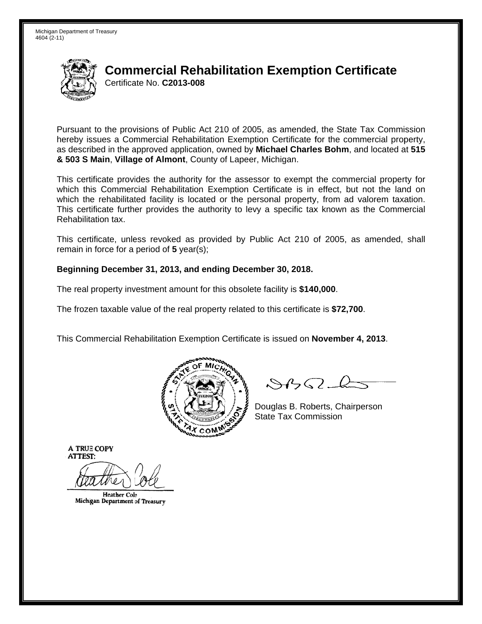

# **Commercial Rehabilitation Exemption Certificate** Certificate No. C2013-008

Pursuant to the provisions of Public Act 210 of 2005, as amended, the State Tax Commission hereby issues a Commercial Rehabilitation Exemption Certificate for the commercial property. as described in the approved application, owned by Michael Charles Bohm, and located at 515 & 503 S Main, Village of Almont, County of Lapeer, Michigan.

This certificate provides the authority for the assessor to exempt the commercial property for which this Commercial Rehabilitation Exemption Certificate is in effect, but not the land on which the rehabilitated facility is located or the personal property, from ad valorem taxation. This certificate further provides the authority to levy a specific tax known as the Commercial Rehabilitation tax.

This certificate, unless revoked as provided by Public Act 210 of 2005, as amended, shall remain in force for a period of  $5$  year(s);

## Beginning December 31, 2013, and ending December 30, 2018.

The real property investment amount for this obsolete facility is \$140,000.

The frozen taxable value of the real property related to this certificate is \$72,700.

This Commercial Rehabilitation Exemption Certificate is issued on November 4, 2013.



 $\mathcal{S}4\mathcal{G}$ 

Douglas B. Roberts, Chairperson **State Tax Commission** 

**A TRUE COPY ATTEST:** 

**Heather Cole** Michigan Department of Treasury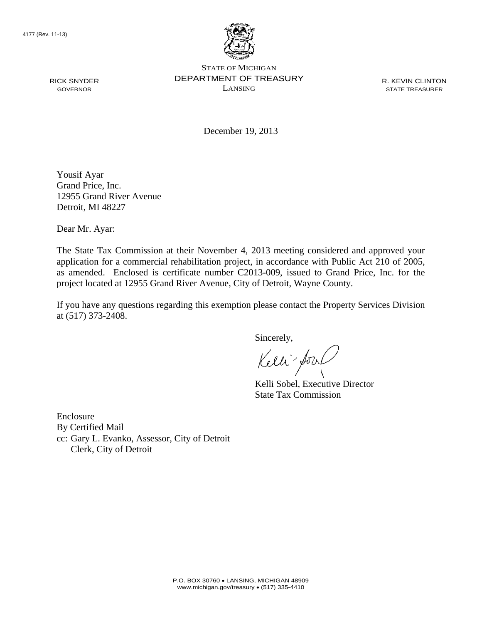RICK SNYDER GOVERNOR



STATE OF MICHIGAN DEPARTMENT OF TREASURY LANSING

R. KEVIN CLINTON STATE TREASURER

December 19, 2013

Yousif Ayar Grand Price, Inc. 12955 Grand River Avenue Detroit, MI 48227

Dear Mr. Ayar:

The State Tax Commission at their November 4, 2013 meeting considered and approved your application for a commercial rehabilitation project, in accordance with Public Act 210 of 2005, as amended. Enclosed is certificate number C2013-009, issued to Grand Price, Inc. for the project located at 12955 Grand River Avenue, City of Detroit, Wayne County.

If you have any questions regarding this exemption please contact the Property Services Division at (517) 373-2408.

Sincerely,

Kelli fory

Kelli Sobel, Executive Director State Tax Commission

Enclosure By Certified Mail cc: Gary L. Evanko, Assessor, City of Detroit Clerk, City of Detroit